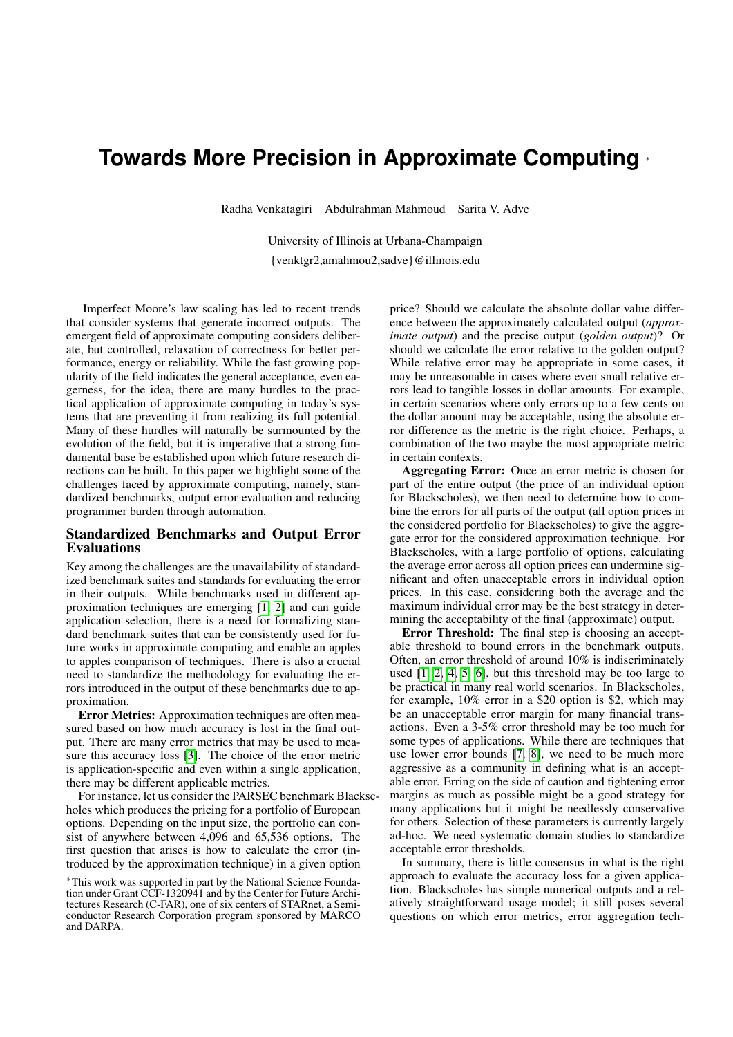# **Towards More Precision in Approximate Computing** <sup>∗</sup>

Radha Venkatagiri Abdulrahman Mahmoud Sarita V. Adve

University of Illinois at Urbana-Champaign {venktgr2,amahmou2,sadve}@illinois.edu

Imperfect Moore's law scaling has led to recent trends that consider systems that generate incorrect outputs. The emergent field of approximate computing considers deliberate, but controlled, relaxation of correctness for better performance, energy or reliability. While the fast growing popularity of the field indicates the general acceptance, even eagerness, for the idea, there are many hurdles to the practical application of approximate computing in today's systems that are preventing it from realizing its full potential. Many of these hurdles will naturally be surmounted by the evolution of the field, but it is imperative that a strong fundamental base be established upon which future research directions can be built. In this paper we highlight some of the challenges faced by approximate computing, namely, standardized benchmarks, output error evaluation and reducing programmer burden through automation.

#### Standardized Benchmarks and Output Error Evaluations

Key among the challenges are the unavailability of standardized benchmark suites and standards for evaluating the error in their outputs. While benchmarks used in different approximation techniques are emerging [\[1,](#page-2-0) [2\]](#page-2-1) and can guide application selection, there is a need for formalizing standard benchmark suites that can be consistently used for future works in approximate computing and enable an apples to apples comparison of techniques. There is also a crucial need to standardize the methodology for evaluating the errors introduced in the output of these benchmarks due to approximation.

Error Metrics: Approximation techniques are often measured based on how much accuracy is lost in the final output. There are many error metrics that may be used to measure this accuracy loss [\[3\]](#page-2-2). The choice of the error metric is application-specific and even within a single application, there may be different applicable metrics.

For instance, let us consider the PARSEC benchmark Blackscholes which produces the pricing for a portfolio of European options. Depending on the input size, the portfolio can consist of anywhere between 4,096 and 65,536 options. The first question that arises is how to calculate the error (introduced by the approximation technique) in a given option

price? Should we calculate the absolute dollar value difference between the approximately calculated output (*approximate output*) and the precise output (*golden output*)? Or should we calculate the error relative to the golden output? While relative error may be appropriate in some cases, it may be unreasonable in cases where even small relative errors lead to tangible losses in dollar amounts. For example, in certain scenarios where only errors up to a few cents on the dollar amount may be acceptable, using the absolute error difference as the metric is the right choice. Perhaps, a combination of the two maybe the most appropriate metric in certain contexts.

Aggregating Error: Once an error metric is chosen for part of the entire output (the price of an individual option for Blackscholes), we then need to determine how to combine the errors for all parts of the output (all option prices in the considered portfolio for Blackscholes) to give the aggregate error for the considered approximation technique. For Blackscholes, with a large portfolio of options, calculating the average error across all option prices can undermine significant and often unacceptable errors in individual option prices. In this case, considering both the average and the maximum individual error may be the best strategy in determining the acceptability of the final (approximate) output.

Error Threshold: The final step is choosing an acceptable threshold to bound errors in the benchmark outputs. Often, an error threshold of around 10% is indiscriminately used [\[1,](#page-2-0) [2,](#page-2-1) [4,](#page-2-3) [5,](#page-2-4) [6\]](#page-2-5), but this threshold may be too large to be practical in many real world scenarios. In Blackscholes, for example, 10% error in a \$20 option is \$2, which may be an unacceptable error margin for many financial transactions. Even a 3-5% error threshold may be too much for some types of applications. While there are techniques that use lower error bounds [\[7,](#page-2-6) [8\]](#page-2-7), we need to be much more aggressive as a community in defining what is an acceptable error. Erring on the side of caution and tightening error margins as much as possible might be a good strategy for many applications but it might be needlessly conservative for others. Selection of these parameters is currently largely ad-hoc. We need systematic domain studies to standardize acceptable error thresholds.

In summary, there is little consensus in what is the right approach to evaluate the accuracy loss for a given application. Blackscholes has simple numerical outputs and a relatively straightforward usage model; it still poses several questions on which error metrics, error aggregation tech-

<sup>∗</sup>This work was supported in part by the National Science Foundation under Grant CCF-1320941 and by the Center for Future Architectures Research (C-FAR), one of six centers of STARnet, a Semiconductor Research Corporation program sponsored by MARCO and DARPA.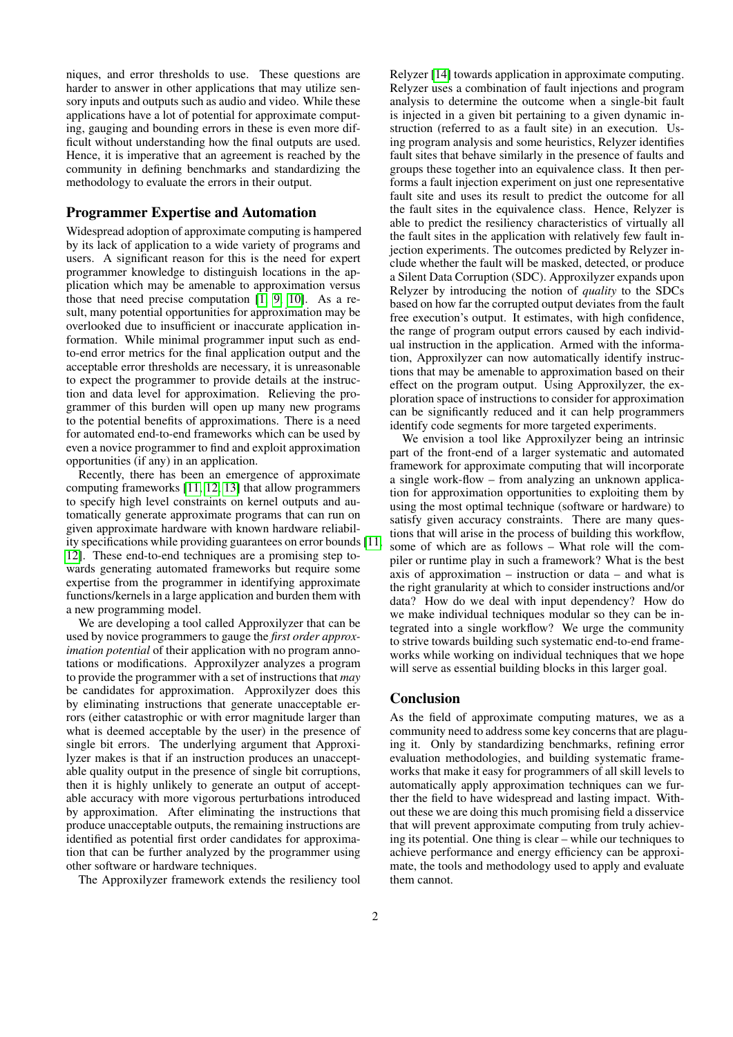niques, and error thresholds to use. These questions are harder to answer in other applications that may utilize sensory inputs and outputs such as audio and video. While these applications have a lot of potential for approximate computing, gauging and bounding errors in these is even more difficult without understanding how the final outputs are used. Hence, it is imperative that an agreement is reached by the community in defining benchmarks and standardizing the methodology to evaluate the errors in their output.

#### Programmer Expertise and Automation

Widespread adoption of approximate computing is hampered by its lack of application to a wide variety of programs and users. A significant reason for this is the need for expert programmer knowledge to distinguish locations in the application which may be amenable to approximation versus those that need precise computation [\[1,](#page-2-0) [9,](#page-2-8) [10\]](#page-2-9). As a result, many potential opportunities for approximation may be overlooked due to insufficient or inaccurate application information. While minimal programmer input such as endto-end error metrics for the final application output and the acceptable error thresholds are necessary, it is unreasonable to expect the programmer to provide details at the instruction and data level for approximation. Relieving the programmer of this burden will open up many new programs to the potential benefits of approximations. There is a need for automated end-to-end frameworks which can be used by even a novice programmer to find and exploit approximation opportunities (if any) in an application.

Recently, there has been an emergence of approximate computing frameworks [\[11,](#page-2-10) [12,](#page-2-11) [13\]](#page-2-12) that allow programmers to specify high level constraints on kernel outputs and automatically generate approximate programs that can run on given approximate hardware with known hardware reliability specifications while providing guarantees on error bounds [\[11,](#page-2-10) [12\]](#page-2-11). These end-to-end techniques are a promising step towards generating automated frameworks but require some expertise from the programmer in identifying approximate functions/kernels in a large application and burden them with a new programming model.

We are developing a tool called Approxilyzer that can be used by novice programmers to gauge the *first order approximation potential* of their application with no program annotations or modifications. Approxilyzer analyzes a program to provide the programmer with a set of instructions that *may* be candidates for approximation. Approxilyzer does this by eliminating instructions that generate unacceptable errors (either catastrophic or with error magnitude larger than what is deemed acceptable by the user) in the presence of single bit errors. The underlying argument that Approxilyzer makes is that if an instruction produces an unacceptable quality output in the presence of single bit corruptions, then it is highly unlikely to generate an output of acceptable accuracy with more vigorous perturbations introduced by approximation. After eliminating the instructions that produce unacceptable outputs, the remaining instructions are identified as potential first order candidates for approximation that can be further analyzed by the programmer using other software or hardware techniques.

The Approxilyzer framework extends the resiliency tool

Relyzer [\[14\]](#page-2-13) towards application in approximate computing. Relyzer uses a combination of fault injections and program analysis to determine the outcome when a single-bit fault is injected in a given bit pertaining to a given dynamic instruction (referred to as a fault site) in an execution. Using program analysis and some heuristics, Relyzer identifies fault sites that behave similarly in the presence of faults and groups these together into an equivalence class. It then performs a fault injection experiment on just one representative fault site and uses its result to predict the outcome for all the fault sites in the equivalence class. Hence, Relyzer is able to predict the resiliency characteristics of virtually all the fault sites in the application with relatively few fault injection experiments. The outcomes predicted by Relyzer include whether the fault will be masked, detected, or produce a Silent Data Corruption (SDC). Approxilyzer expands upon Relyzer by introducing the notion of *quality* to the SDCs based on how far the corrupted output deviates from the fault free execution's output. It estimates, with high confidence, the range of program output errors caused by each individual instruction in the application. Armed with the information, Approxilyzer can now automatically identify instructions that may be amenable to approximation based on their effect on the program output. Using Approxilyzer, the exploration space of instructions to consider for approximation can be significantly reduced and it can help programmers identify code segments for more targeted experiments.

We envision a tool like Approxilyzer being an intrinsic part of the front-end of a larger systematic and automated framework for approximate computing that will incorporate a single work-flow – from analyzing an unknown application for approximation opportunities to exploiting them by using the most optimal technique (software or hardware) to satisfy given accuracy constraints. There are many questions that will arise in the process of building this workflow, some of which are as follows – What role will the compiler or runtime play in such a framework? What is the best axis of approximation – instruction or data – and what is the right granularity at which to consider instructions and/or data? How do we deal with input dependency? How do we make individual techniques modular so they can be integrated into a single workflow? We urge the community to strive towards building such systematic end-to-end frameworks while working on individual techniques that we hope will serve as essential building blocks in this larger goal.

### Conclusion

As the field of approximate computing matures, we as a community need to address some key concerns that are plaguing it. Only by standardizing benchmarks, refining error evaluation methodologies, and building systematic frameworks that make it easy for programmers of all skill levels to automatically apply approximation techniques can we further the field to have widespread and lasting impact. Without these we are doing this much promising field a disservice that will prevent approximate computing from truly achieving its potential. One thing is clear – while our techniques to achieve performance and energy efficiency can be approximate, the tools and methodology used to apply and evaluate them cannot.